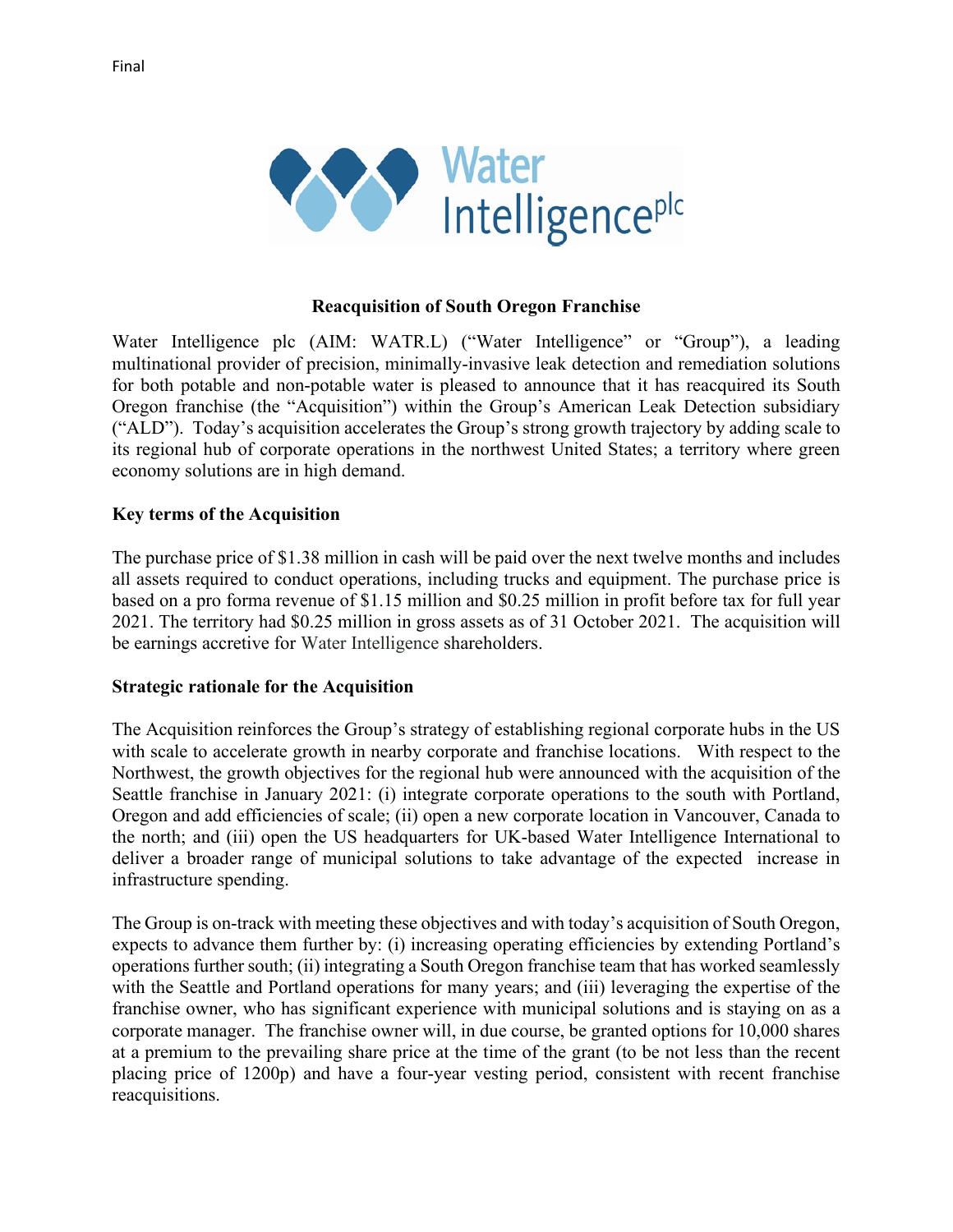



## **Reacquisition of South Oregon Franchise**

Water Intelligence plc (AIM: WATR.L) ("Water Intelligence" or "Group"), a leading multinational provider of precision, minimally-invasive leak detection and remediation solutions for both potable and non-potable water is pleased to announce that it has reacquired its South Oregon franchise (the "Acquisition") within the Group's American Leak Detection subsidiary ("ALD"). Today's acquisition accelerates the Group's strong growth trajectory by adding scale to its regional hub of corporate operations in the northwest United States; a territory where green economy solutions are in high demand.

## **Key terms of the Acquisition**

The purchase price of \$1.38 million in cash will be paid over the next twelve months and includes all assets required to conduct operations, including trucks and equipment. The purchase price is based on a pro forma revenue of \$1.15 million and \$0.25 million in profit before tax for full year 2021. The territory had \$0.25 million in gross assets as of 31 October 2021. The acquisition will be earnings accretive for Water Intelligence shareholders.

## **Strategic rationale for the Acquisition**

The Acquisition reinforces the Group's strategy of establishing regional corporate hubs in the US with scale to accelerate growth in nearby corporate and franchise locations. With respect to the Northwest, the growth objectives for the regional hub were announced with the acquisition of the Seattle franchise in January 2021: (i) integrate corporate operations to the south with Portland, Oregon and add efficiencies of scale; (ii) open a new corporate location in Vancouver, Canada to the north; and (iii) open the US headquarters for UK-based Water Intelligence International to deliver a broader range of municipal solutions to take advantage of the expected increase in infrastructure spending.

The Group is on-track with meeting these objectives and with today's acquisition of South Oregon, expects to advance them further by: (i) increasing operating efficiencies by extending Portland's operations further south; (ii) integrating a South Oregon franchise team that has worked seamlessly with the Seattle and Portland operations for many years; and (iii) leveraging the expertise of the franchise owner, who has significant experience with municipal solutions and is staying on as a corporate manager. The franchise owner will, in due course, be granted options for 10,000 shares at a premium to the prevailing share price at the time of the grant (to be not less than the recent placing price of 1200p) and have a four-year vesting period, consistent with recent franchise reacquisitions.